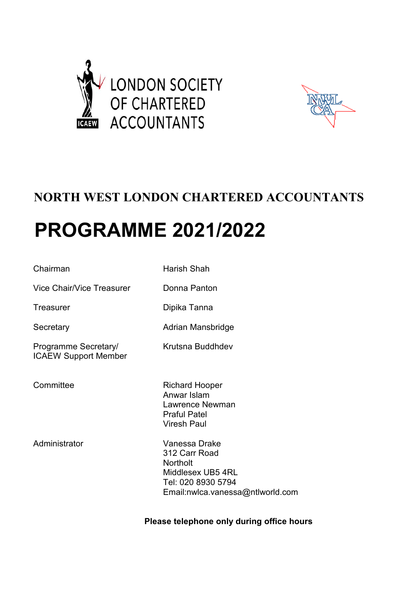



## **NORTH WEST LONDON CHARTERED ACCOUNTANTS**

# **PROGRAMME 2021/2022**

| Chairman                                            | Harish Shah                                                                                                                      |
|-----------------------------------------------------|----------------------------------------------------------------------------------------------------------------------------------|
| Vice Chair/Vice Treasurer                           | Donna Panton                                                                                                                     |
| Treasurer                                           | Dipika Tanna                                                                                                                     |
| Secretary                                           | Adrian Mansbridge                                                                                                                |
| Programme Secretary/<br><b>ICAEW Support Member</b> | Krutsna Buddhdev                                                                                                                 |
| Committee                                           | <b>Richard Hooper</b><br>Anwar Islam<br>Lawrence Newman<br><b>Praful Patel</b><br><b>Viresh Paul</b>                             |
| Administrator                                       | Vanessa Drake<br>312 Carr Road<br><b>Northolt</b><br>Middlesex UB5 4RL<br>Tel: 020 8930 5794<br>Email:nwlca.vanessa@ntlworld.com |
|                                                     |                                                                                                                                  |

 **Please telephone only during office hours**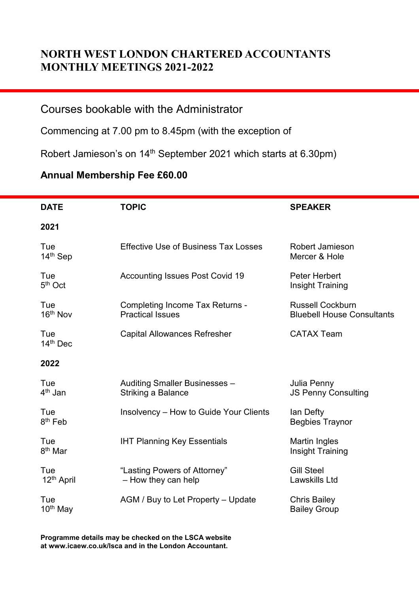### **NORTH WEST LONDON CHARTERED ACCOUNTANTS MONTHLY MEETINGS 2021-2022**

#### Courses bookable with the Administrator

Commencing at 7.00 pm to 8.45pm (with the exception of

Robert Jamieson's on 14<sup>th</sup> September 2021 which starts at 6.30pm)

#### **Annual Membership Fee £60.00**

| <b>DATE</b>                   | <b>TOPIC</b>                                                      | <b>SPEAKER</b>                                               |
|-------------------------------|-------------------------------------------------------------------|--------------------------------------------------------------|
| 2021                          |                                                                   |                                                              |
| Tue<br>14 <sup>th</sup> Sep   | <b>Effective Use of Business Tax Losses</b>                       | <b>Robert Jamieson</b><br>Mercer & Hole                      |
| Tue<br>$5th$ Oct              | <b>Accounting Issues Post Covid 19</b>                            | Peter Herbert<br>Insight Training                            |
| Tue<br>16 <sup>th</sup> Nov   | <b>Completing Income Tax Returns -</b><br><b>Practical Issues</b> | <b>Russell Cockburn</b><br><b>Bluebell House Consultants</b> |
| Tue<br>14th Dec               | <b>Capital Allowances Refresher</b>                               | <b>CATAX Team</b>                                            |
| 2022                          |                                                                   |                                                              |
| Tue<br>4 <sup>th</sup> Jan    | Auditing Smaller Businesses -<br>Striking a Balance               | Julia Penny<br><b>JS Penny Consulting</b>                    |
| Tue<br>8 <sup>th</sup> Feb    | Insolvency – How to Guide Your Clients                            | lan Defty<br><b>Begbies Traynor</b>                          |
| Tue<br>8 <sup>th</sup> Mar    | <b>IHT Planning Key Essentials</b>                                | <b>Martin Ingles</b><br>Insight Training                     |
| Tue<br>12 <sup>th</sup> April | "Lasting Powers of Attorney"<br>- How they can help               | <b>Gill Steel</b><br>Lawskills Ltd                           |
| Tue<br>10 <sup>th</sup> May   | AGM / Buy to Let Property - Update                                | <b>Chris Bailey</b><br><b>Bailey Group</b>                   |

**Programme details may be checked on the LSCA website at www.icaew.co.uk/lsca and in the London Accountant.**